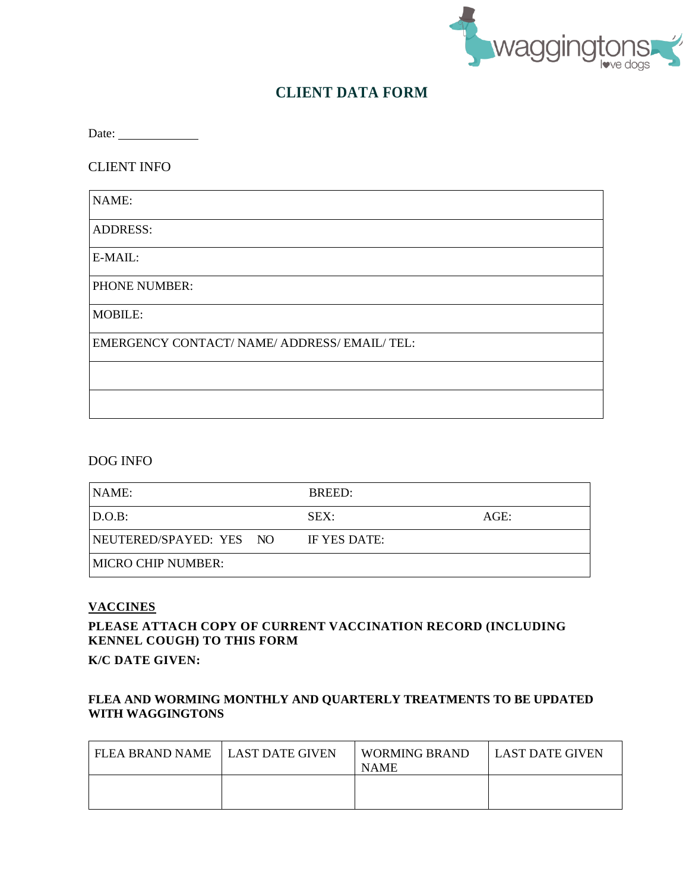

# **CLIENT DATA FORM**

Date:

CLIENT INFO

| NAME:                                         |
|-----------------------------------------------|
| <b>ADDRESS:</b>                               |
| E-MAIL:                                       |
| PHONE NUMBER:                                 |
| <b>MOBILE:</b>                                |
| EMERGENCY CONTACT/ NAME/ ADDRESS/ EMAIL/ TEL: |
|                                               |
|                                               |

### DOG INFO

| NAME:                     | BREED:       |      |
|---------------------------|--------------|------|
| $\vert$ D.O.B:            | SEX:         | AGE: |
| NEUTERED/SPAYED: YES NO   | IF YES DATE: |      |
| <b>MICRO CHIP NUMBER:</b> |              |      |

#### **VACCINES**

### **PLEASE ATTACH COPY OF CURRENT VACCINATION RECORD (INCLUDING KENNEL COUGH) TO THIS FORM**

**K/C DATE GIVEN:**

### **FLEA AND WORMING MONTHLY AND QUARTERLY TREATMENTS TO BE UPDATED WITH WAGGINGTONS**

| FLEA BRAND NAME ILAST DATE GIVEN | WORMING BRAND<br><b>NAME</b> | LAST DATE GIVEN |
|----------------------------------|------------------------------|-----------------|
|                                  |                              |                 |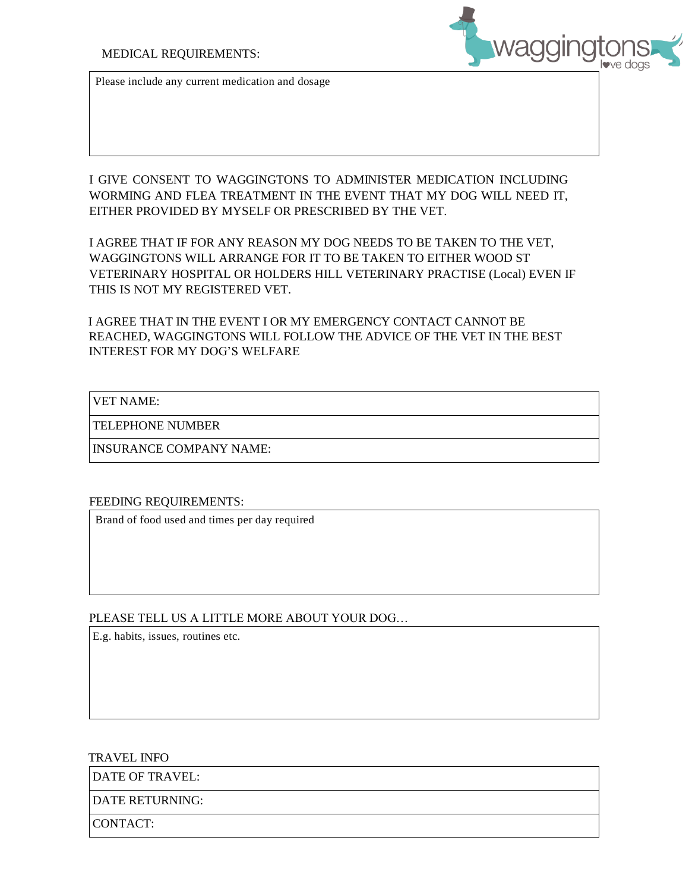

Please include any current medication and dosage

I GIVE CONSENT TO WAGGINGTONS TO ADMINISTER MEDICATION INCLUDING WORMING AND FLEA TREATMENT IN THE EVENT THAT MY DOG WILL NEED IT, EITHER PROVIDED BY MYSELF OR PRESCRIBED BY THE VET.

I AGREE THAT IF FOR ANY REASON MY DOG NEEDS TO BE TAKEN TO THE VET, WAGGINGTONS WILL ARRANGE FOR IT TO BE TAKEN TO EITHER WOOD ST VETERINARY HOSPITAL OR HOLDERS HILL VETERINARY PRACTISE (Local) EVEN IF THIS IS NOT MY REGISTERED VET.

I AGREE THAT IN THE EVENT I OR MY EMERGENCY CONTACT CANNOT BE REACHED, WAGGINGTONS WILL FOLLOW THE ADVICE OF THE VET IN THE BEST INTEREST FOR MY DOG'S WELFARE

#### VET NAME:

TELEPHONE NUMBER

INSURANCE COMPANY NAME:

#### FEEDING REQUIREMENTS:

Brand of food used and times per day required

#### PLEASE TELL US A LITTLE MORE ABOUT YOUR DOG…

E.g. habits, issues, routines etc.

#### TRAVEL INFO

DATE OF TRAVEL:

DATE RETURNING:

CONTACT: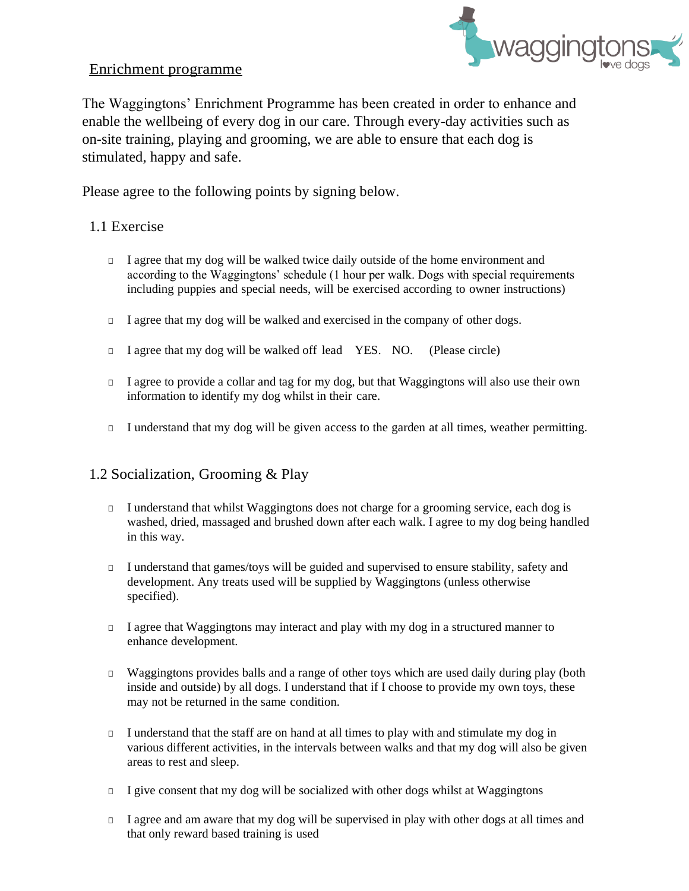## Enrichment programme



The Waggingtons' Enrichment Programme has been created in order to enhance and enable the wellbeing of every dog in our care. Through every-day activities such as on-site training, playing and grooming, we are able to ensure that each dog is stimulated, happy and safe.

Please agree to the following points by signing below.

## 1.1 Exercise

- □ I agree that my dog will be walked twice daily outside of the home environment and according to the Waggingtons' schedule (1 hour per walk. Dogs with special requirements including puppies and special needs, will be exercised according to owner instructions)
- □ I agree that my dog will be walked and exercised in the company of other dogs.
- □ I agree that my dog will be walked off lead YES. NO. (Please circle)
- □ I agree to provide a collar and tag for my dog, but that Waggingtons will also use their own information to identify my dog whilst in their care.
- □ I understand that my dog will be given access to the garden at all times, weather permitting.

# 1.2 Socialization, Grooming & Play

- □ I understand that whilst Waggingtons does not charge for a grooming service, each dog is washed, dried, massaged and brushed down after each walk. I agree to my dog being handled in this way.
- □ I understand that games/toys will be guided and supervised to ensure stability, safety and development. Any treats used will be supplied by Waggingtons (unless otherwise specified).
- □ I agree that Waggingtons may interact and play with my dog in a structured manner to enhance development.
- □ Waggingtons provides balls and a range of other toys which are used daily during play (both inside and outside) by all dogs. I understand that if I choose to provide my own toys, these may not be returned in the same condition.
- □ I understand that the staff are on hand at all times to play with and stimulate my dog in various different activities, in the intervals between walks and that my dog will also be given areas to rest and sleep.
- □ I give consent that my dog will be socialized with other dogs whilst at Waggingtons
- □ I agree and am aware that my dog will be supervised in play with other dogs at all times and that only reward based training is used